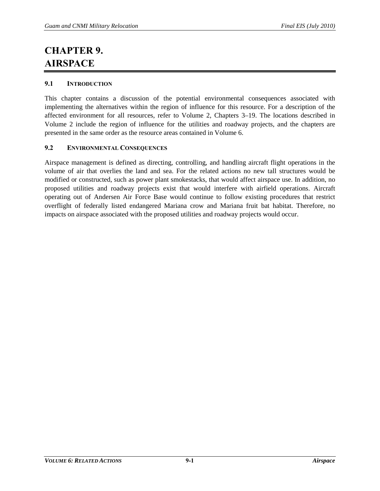## **CHAPTER 9. AIRSPACE**

## **9.1 INTRODUCTION**

This chapter contains a discussion of the potential environmental consequences associated with implementing the alternatives within the region of influence for this resource. For a description of the affected environment for all resources, refer to Volume 2, Chapters 3–19. The locations described in Volume 2 include the region of influence for the utilities and roadway projects, and the chapters are presented in the same order as the resource areas contained in Volume 6.

## **9.2 ENVIRONMENTAL CONSEQUENCES**

Airspace management is defined as directing, controlling, and handling aircraft flight operations in the volume of air that overlies the land and sea. For the related actions no new tall structures would be modified or constructed, such as power plant smokestacks, that would affect airspace use. In addition, no proposed utilities and roadway projects exist that would interfere with airfield operations. Aircraft operating out of Andersen Air Force Base would continue to follow existing procedures that restrict overflight of federally listed endangered Mariana crow and Mariana fruit bat habitat. Therefore, no impacts on airspace associated with the proposed utilities and roadway projects would occur.